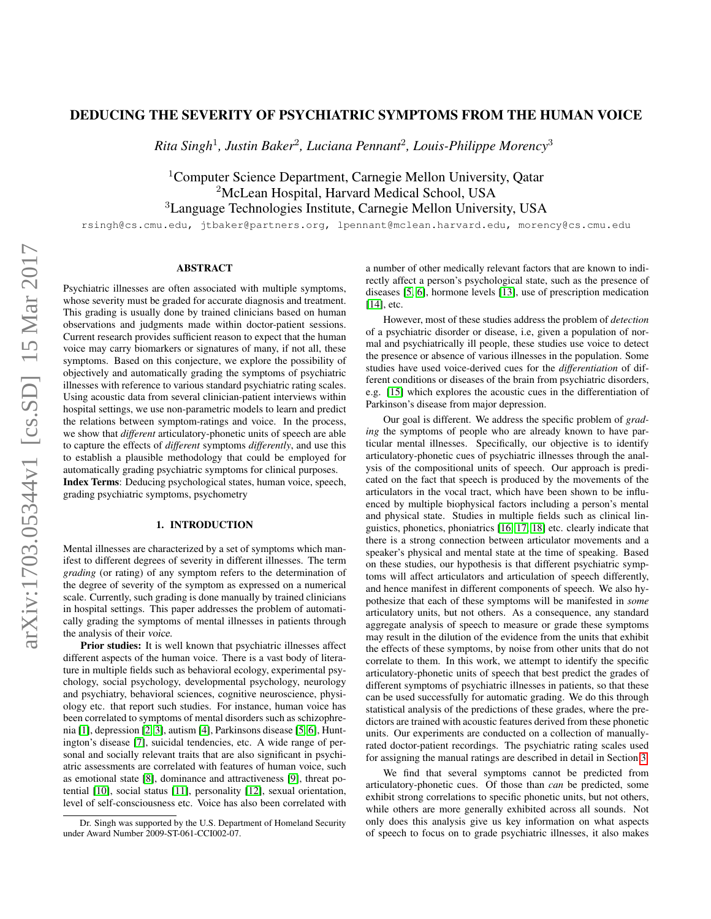## DEDUCING THE SEVERITY OF PSYCHIATRIC SYMPTOMS FROM THE HUMAN VOICE

*Rita Singh*<sup>1</sup> *, Justin Baker*<sup>2</sup> *, Luciana Pennant*<sup>2</sup> *, Louis-Philippe Morency*<sup>3</sup>

<sup>1</sup>Computer Science Department, Carnegie Mellon University, Qatar <sup>2</sup>McLean Hospital, Harvard Medical School, USA <sup>3</sup>Language Technologies Institute, Carnegie Mellon University, USA

rsingh@cs.cmu.edu, jtbaker@partners.org, lpennant@mclean.harvard.edu, morency@cs.cmu.edu

# ABSTRACT

Psychiatric illnesses are often associated with multiple symptoms, whose severity must be graded for accurate diagnosis and treatment. This grading is usually done by trained clinicians based on human observations and judgments made within doctor-patient sessions. Current research provides sufficient reason to expect that the human voice may carry biomarkers or signatures of many, if not all, these symptoms. Based on this conjecture, we explore the possibility of objectively and automatically grading the symptoms of psychiatric illnesses with reference to various standard psychiatric rating scales. Using acoustic data from several clinician-patient interviews within hospital settings, we use non-parametric models to learn and predict the relations between symptom-ratings and voice. In the process, we show that *different* articulatory-phonetic units of speech are able to capture the effects of *different* symptoms *differently*, and use this to establish a plausible methodology that could be employed for automatically grading psychiatric symptoms for clinical purposes. Index Terms: Deducing psychological states, human voice, speech, grading psychiatric symptoms, psychometry

#### 1. INTRODUCTION

Mental illnesses are characterized by a set of symptoms which manifest to different degrees of severity in different illnesses. The term *grading* (or rating) of any symptom refers to the determination of the degree of severity of the symptom as expressed on a numerical scale. Currently, such grading is done manually by trained clinicians in hospital settings. This paper addresses the problem of automatically grading the symptoms of mental illnesses in patients through the analysis of their voice.

Prior studies: It is well known that psychiatric illnesses affect different aspects of the human voice. There is a vast body of literature in multiple fields such as behavioral ecology, experimental psychology, social psychology, developmental psychology, neurology and psychiatry, behavioral sciences, cognitive neuroscience, physiology etc. that report such studies. For instance, human voice has been correlated to symptoms of mental disorders such as schizophrenia [\[1\]](#page-4-0), depression [\[2,](#page-4-1) [3\]](#page-4-2), autism [\[4\]](#page-4-3), Parkinsons disease [\[5,](#page-4-4) [6\]](#page-4-5), Huntington's disease [\[7\]](#page-4-6), suicidal tendencies, etc. A wide range of personal and socially relevant traits that are also significant in psychiatric assessments are correlated with features of human voice, such as emotional state [\[8\]](#page-4-7), dominance and attractiveness [\[9\]](#page-4-8), threat potential [\[10\]](#page-4-9), social status [\[11\]](#page-4-10), personality [\[12\]](#page-4-11), sexual orientation, level of self-consciousness etc. Voice has also been correlated with a number of other medically relevant factors that are known to indirectly affect a person's psychological state, such as the presence of diseases [\[5,](#page-4-4) [6\]](#page-4-5), hormone levels [\[13\]](#page-4-12), use of prescription medication [\[14\]](#page-4-13), etc.

However, most of these studies address the problem of *detection* of a psychiatric disorder or disease, i.e, given a population of normal and psychiatrically ill people, these studies use voice to detect the presence or absence of various illnesses in the population. Some studies have used voice-derived cues for the *differentiation* of different conditions or diseases of the brain from psychiatric disorders, e.g. [\[15\]](#page-4-14) which explores the acoustic cues in the differentiation of Parkinson's disease from major depression.

Our goal is different. We address the specific problem of *grading* the symptoms of people who are already known to have particular mental illnesses. Specifically, our objective is to identify articulatory-phonetic cues of psychiatric illnesses through the analysis of the compositional units of speech. Our approach is predicated on the fact that speech is produced by the movements of the articulators in the vocal tract, which have been shown to be influenced by multiple biophysical factors including a person's mental and physical state. Studies in multiple fields such as clinical linguistics, phonetics, phoniatrics [\[16,](#page-4-15) [17,](#page-4-16) [18\]](#page-4-17) etc. clearly indicate that there is a strong connection between articulator movements and a speaker's physical and mental state at the time of speaking. Based on these studies, our hypothesis is that different psychiatric symptoms will affect articulators and articulation of speech differently, and hence manifest in different components of speech. We also hypothesize that each of these symptoms will be manifested in *some* articulatory units, but not others. As a consequence, any standard aggregate analysis of speech to measure or grade these symptoms may result in the dilution of the evidence from the units that exhibit the effects of these symptoms, by noise from other units that do not correlate to them. In this work, we attempt to identify the specific articulatory-phonetic units of speech that best predict the grades of different symptoms of psychiatric illnesses in patients, so that these can be used successfully for automatic grading. We do this through statistical analysis of the predictions of these grades, where the predictors are trained with acoustic features derived from these phonetic units. Our experiments are conducted on a collection of manuallyrated doctor-patient recordings. The psychiatric rating scales used for assigning the manual ratings are described in detail in Section [3.](#page-1-0)

We find that several symptoms cannot be predicted from articulatory-phonetic cues. Of those than *can* be predicted, some exhibit strong correlations to specific phonetic units, but not others, while others are more generally exhibited across all sounds. Not only does this analysis give us key information on what aspects of speech to focus on to grade psychiatric illnesses, it also makes

Dr. Singh was supported by the U.S. Department of Homeland Security under Award Number 2009-ST-061-CCI002-07.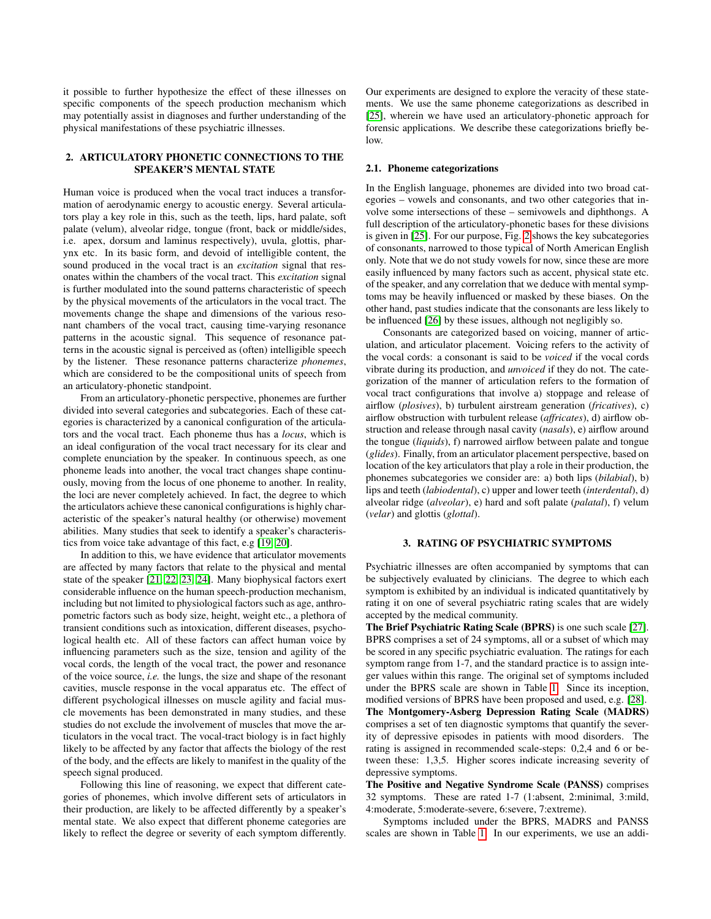it possible to further hypothesize the effect of these illnesses on specific components of the speech production mechanism which may potentially assist in diagnoses and further understanding of the physical manifestations of these psychiatric illnesses.

## 2. ARTICULATORY PHONETIC CONNECTIONS TO THE SPEAKER'S MENTAL STATE

Human voice is produced when the vocal tract induces a transformation of aerodynamic energy to acoustic energy. Several articulators play a key role in this, such as the teeth, lips, hard palate, soft palate (velum), alveolar ridge, tongue (front, back or middle/sides, i.e. apex, dorsum and laminus respectively), uvula, glottis, pharynx etc. In its basic form, and devoid of intelligible content, the sound produced in the vocal tract is an *excitation* signal that resonates within the chambers of the vocal tract. This *excitation* signal is further modulated into the sound patterns characteristic of speech by the physical movements of the articulators in the vocal tract. The movements change the shape and dimensions of the various resonant chambers of the vocal tract, causing time-varying resonance patterns in the acoustic signal. This sequence of resonance patterns in the acoustic signal is perceived as (often) intelligible speech by the listener. These resonance patterns characterize *phonemes*, which are considered to be the compositional units of speech from an articulatory-phonetic standpoint.

From an articulatory-phonetic perspective, phonemes are further divided into several categories and subcategories. Each of these categories is characterized by a canonical configuration of the articulators and the vocal tract. Each phoneme thus has a *locus*, which is an ideal configuration of the vocal tract necessary for its clear and complete enunciation by the speaker. In continuous speech, as one phoneme leads into another, the vocal tract changes shape continuously, moving from the locus of one phoneme to another. In reality, the loci are never completely achieved. In fact, the degree to which the articulators achieve these canonical configurations is highly characteristic of the speaker's natural healthy (or otherwise) movement abilities. Many studies that seek to identify a speaker's characteristics from voice take advantage of this fact, e.g [\[19,](#page-4-18) [20\]](#page-4-19).

In addition to this, we have evidence that articulator movements are affected by many factors that relate to the physical and mental state of the speaker [\[21,](#page-4-20) [22,](#page-5-0) [23,](#page-5-1) [24\]](#page-5-2). Many biophysical factors exert considerable influence on the human speech-production mechanism, including but not limited to physiological factors such as age, anthropometric factors such as body size, height, weight etc., a plethora of transient conditions such as intoxication, different diseases, psychological health etc. All of these factors can affect human voice by influencing parameters such as the size, tension and agility of the vocal cords, the length of the vocal tract, the power and resonance of the voice source, *i.e.* the lungs, the size and shape of the resonant cavities, muscle response in the vocal apparatus etc. The effect of different psychological illnesses on muscle agility and facial muscle movements has been demonstrated in many studies, and these studies do not exclude the involvement of muscles that move the articulators in the vocal tract. The vocal-tract biology is in fact highly likely to be affected by any factor that affects the biology of the rest of the body, and the effects are likely to manifest in the quality of the speech signal produced.

Following this line of reasoning, we expect that different categories of phonemes, which involve different sets of articulators in their production, are likely to be affected differently by a speaker's mental state. We also expect that different phoneme categories are likely to reflect the degree or severity of each symptom differently.

Our experiments are designed to explore the veracity of these statements. We use the same phoneme categorizations as described in [\[25\]](#page-5-3), wherein we have used an articulatory-phonetic approach for forensic applications. We describe these categorizations briefly below.

#### 2.1. Phoneme categorizations

In the English language, phonemes are divided into two broad categories – vowels and consonants, and two other categories that involve some intersections of these – semivowels and diphthongs. A full description of the articulatory-phonetic bases for these divisions is given in [\[25\]](#page-5-3). For our purpose, Fig. [2](#page-3-0) shows the key subcategories of consonants, narrowed to those typical of North American English only. Note that we do not study vowels for now, since these are more easily influenced by many factors such as accent, physical state etc. of the speaker, and any correlation that we deduce with mental symptoms may be heavily influenced or masked by these biases. On the other hand, past studies indicate that the consonants are less likely to be influenced [\[26\]](#page-5-4) by these issues, although not negligibly so.

Consonants are categorized based on voicing, manner of articulation, and articulator placement. Voicing refers to the activity of the vocal cords: a consonant is said to be *voiced* if the vocal cords vibrate during its production, and *unvoiced* if they do not. The categorization of the manner of articulation refers to the formation of vocal tract configurations that involve a) stoppage and release of airflow (*plosives*), b) turbulent airstream generation (*fricatives*), c) airflow obstruction with turbulent release (*affricates*), d) airflow obstruction and release through nasal cavity (*nasals*), e) airflow around the tongue (*liquids*), f) narrowed airflow between palate and tongue (*glides*). Finally, from an articulator placement perspective, based on location of the key articulators that play a role in their production, the phonemes subcategories we consider are: a) both lips (*bilabial*), b) lips and teeth (*labiodental*), c) upper and lower teeth (*interdental*), d) alveolar ridge (*alveolar*), e) hard and soft palate (*palatal*), f) velum (*velar*) and glottis (*glottal*).

### 3. RATING OF PSYCHIATRIC SYMPTOMS

<span id="page-1-0"></span>Psychiatric illnesses are often accompanied by symptoms that can be subjectively evaluated by clinicians. The degree to which each symptom is exhibited by an individual is indicated quantitatively by rating it on one of several psychiatric rating scales that are widely accepted by the medical community.

The Brief Psychiatric Rating Scale (BPRS) is one such scale [\[27\]](#page-5-5). BPRS comprises a set of 24 symptoms, all or a subset of which may be scored in any specific psychiatric evaluation. The ratings for each symptom range from 1-7, and the standard practice is to assign integer values within this range. The original set of symptoms included under the BPRS scale are shown in Table [1.](#page-3-1) Since its inception, modified versions of BPRS have been proposed and used, e.g. [\[28\]](#page-5-6). The Montgomery-Asberg Depression Rating Scale (MADRS) comprises a set of ten diagnostic symptoms that quantify the severity of depressive episodes in patients with mood disorders. The rating is assigned in recommended scale-steps: 0,2,4 and 6 or between these: 1,3,5. Higher scores indicate increasing severity of depressive symptoms.

The Positive and Negative Syndrome Scale (PANSS) comprises 32 symptoms. These are rated 1-7 (1:absent, 2:minimal, 3:mild, 4:moderate, 5:moderate-severe, 6:severe, 7:extreme).

Symptoms included under the BPRS, MADRS and PANSS scales are shown in Table [1.](#page-3-1) In our experiments, we use an addi-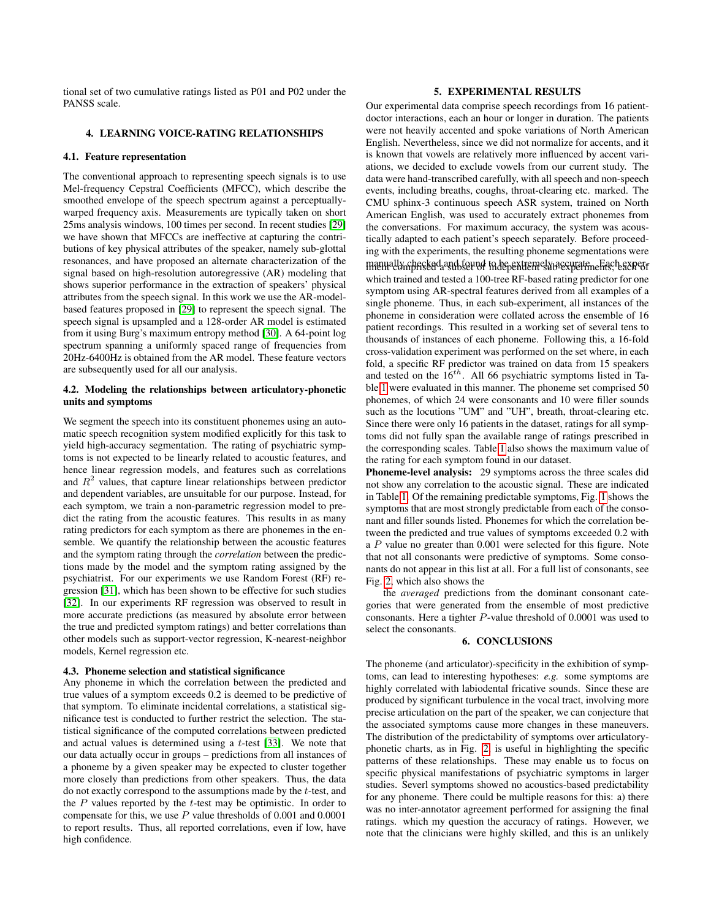tional set of two cumulative ratings listed as P01 and P02 under the PANSS scale.

### 4. LEARNING VOICE-RATING RELATIONSHIPS

#### 4.1. Feature representation

The conventional approach to representing speech signals is to use Mel-frequency Cepstral Coefficients (MFCC), which describe the smoothed envelope of the speech spectrum against a perceptuallywarped frequency axis. Measurements are typically taken on short 25ms analysis windows, 100 times per second. In recent studies [\[29\]](#page-5-7) we have shown that MFCCs are ineffective at capturing the contributions of key physical attributes of the speaker, namely sub-glottal resonances, and have proposed an alternate characterization of the signal based on high-resolution autoregressive (AR) modeling that shows superior performance in the extraction of speakers' physical attributes from the speech signal. In this work we use the AR-modelbased features proposed in [\[29\]](#page-5-7) to represent the speech signal. The speech signal is upsampled and a 128-order AR model is estimated from it using Burg's maximum entropy method [\[30\]](#page-5-8). A 64-point log spectrum spanning a uniformly spaced range of frequencies from 20Hz-6400Hz is obtained from the AR model. These feature vectors are subsequently used for all our analysis.

## 4.2. Modeling the relationships between articulatory-phonetic units and symptoms

We segment the speech into its constituent phonemes using an automatic speech recognition system modified explicitly for this task to yield high-accuracy segmentation. The rating of psychiatric symptoms is not expected to be linearly related to acoustic features, and hence linear regression models, and features such as correlations and  $R<sup>2</sup>$  values, that capture linear relationships between predictor and dependent variables, are unsuitable for our purpose. Instead, for each symptom, we train a non-parametric regression model to predict the rating from the acoustic features. This results in as many rating predictors for each symptom as there are phonemes in the ensemble. We quantify the relationship between the acoustic features and the symptom rating through the *correlation* between the predictions made by the model and the symptom rating assigned by the psychiatrist. For our experiments we use Random Forest (RF) regression [\[31\]](#page-5-9), which has been shown to be effective for such studies [\[32\]](#page-5-10). In our experiments RF regression was observed to result in more accurate predictions (as measured by absolute error between the true and predicted symptom ratings) and better correlations than other models such as support-vector regression, K-nearest-neighbor models, Kernel regression etc.

## 4.3. Phoneme selection and statistical significance

Any phoneme in which the correlation between the predicted and true values of a symptom exceeds 0.2 is deemed to be predictive of that symptom. To eliminate incidental correlations, a statistical significance test is conducted to further restrict the selection. The statistical significance of the computed correlations between predicted and actual values is determined using a  $t$ -test [\[33\]](#page-5-11). We note that our data actually occur in groups – predictions from all instances of a phoneme by a given speaker may be expected to cluster together more closely than predictions from other speakers. Thus, the data do not exactly correspond to the assumptions made by the t-test, and the  $P$  values reported by the  $t$ -test may be optimistic. In order to compensate for this, we use P value thresholds of 0.001 and 0.0001 to report results. Thus, all reported correlations, even if low, have high confidence.

#### 5. EXPERIMENTAL RESULTS

Our experimental data comprise speech recordings from 16 patientdoctor interactions, each an hour or longer in duration. The patients were not heavily accented and spoke variations of North American English. Nevertheless, since we did not normalize for accents, and it is known that vowels are relatively more influenced by accent variations, we decided to exclude vowels from our current study. The data were hand-transcribed carefully, with all speech and non-speech events, including breaths, coughs, throat-clearing etc. marked. The CMU sphinx-3 continuous speech ASR system, trained on North American English, was used to accurately extract phonemes from the conversations. For maximum accuracy, the system was acoustically adapted to each patient's speech separately. Before proceeding with the experiments, the resulting phoneme segmentations were manually checked and found to be extremely accurate. Each experwhich trained and tested a 100-tree RF-based rating predictor for one symptom using AR-spectral features derived from all examples of a single phoneme. Thus, in each sub-experiment, all instances of the phoneme in consideration were collated across the ensemble of 16 patient recordings. This resulted in a working set of several tens to thousands of instances of each phoneme. Following this, a 16-fold cross-validation experiment was performed on the set where, in each fold, a specific RF predictor was trained on data from 15 speakers and tested on the  $16^{th}$ . All 66 psychiatric symptoms listed in Table [1](#page-3-1) were evaluated in this manner. The phoneme set comprised 50 phonemes, of which 24 were consonants and 10 were filler sounds such as the locutions "UM" and "UH", breath, throat-clearing etc. Since there were only 16 patients in the dataset, ratings for all symptoms did not fully span the available range of ratings prescribed in the corresponding scales. Table [1](#page-3-1) also shows the maximum value of the rating for each symptom found in our dataset.

Phoneme-level analysis: 29 symptoms across the three scales did not show any correlation to the acoustic signal. These are indicated in Table [1.](#page-3-1) Of the remaining predictable symptoms, Fig. [1](#page-3-2) shows the symptoms that are most strongly predictable from each of the consonant and filler sounds listed. Phonemes for which the correlation between the predicted and true values of symptoms exceeded 0.2 with a P value no greater than 0.001 were selected for this figure. Note that not all consonants were predictive of symptoms. Some consonants do not appear in this list at all. For a full list of consonants, see Fig. [2,](#page-3-0) which also shows the

the *averaged* predictions from the dominant consonant categories that were generated from the ensemble of most predictive consonants. Here a tighter P-value threshold of 0.0001 was used to select the consonants.

## 6. CONCLUSIONS

The phoneme (and articulator)-specificity in the exhibition of symptoms, can lead to interesting hypotheses: *e.g.* some symptoms are highly correlated with labiodental fricative sounds. Since these are produced by significant turbulence in the vocal tract, involving more precise articulation on the part of the speaker, we can conjecture that the associated symptoms cause more changes in these maneuvers. The distribution of the predictability of symptoms over articulatoryphonetic charts, as in Fig. [2,](#page-3-0) is useful in highlighting the specific patterns of these relationships. These may enable us to focus on specific physical manifestations of psychiatric symptoms in larger studies. Severl symptoms showed no acoustics-based predictability for any phoneme. There could be multiple reasons for this: a) there was no inter-annotator agreement performed for assigning the final ratings. which my question the accuracy of ratings. However, we note that the clinicians were highly skilled, and this is an unlikely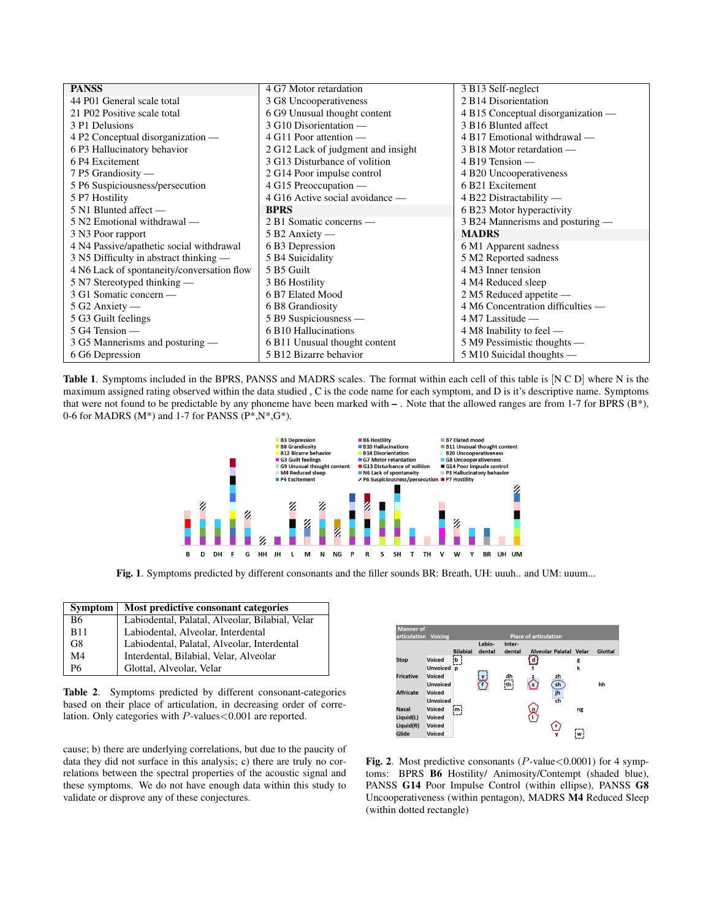| <b>PANSS</b>                               | 4 G7 Motor retardation             | 3 B13 Self-neglect                 |
|--------------------------------------------|------------------------------------|------------------------------------|
| 44 P01 General scale total                 | 3 G8 Uncooperativeness             | 2 B14 Disorientation               |
| 21 P02 Positive scale total                | 6 G9 Unusual thought content       | 4 B15 Conceptual disorganization — |
| 3 P1 Delusions                             | 3 G10 Disorientation -             | 3 B16 Blunted affect               |
| 4 P2 Conceptual disorganization —          | $4$ G11 Poor attention —           | 4 B17 Emotional withdrawal -       |
| 6 P3 Hallucinatory behavior                | 2 G12 Lack of judgment and insight | 3 B18 Motor retardation -          |
| 6 P4 Excitement                            | 3 G13 Disturbance of volition      | $4B19$ Tension —                   |
| 7 P5 Grandiosity —                         | 2 G14 Poor impulse control         | 4 B20 Uncooperativeness            |
| 5 P6 Suspiciousness/persecution            | 4 G15 Preoccupation —              | 6 B21 Excitement                   |
| 5 P7 Hostility                             | 4 G16 Active social avoidance —    | 4 B22 Distractability —            |
| 5 N1 Blunted affect —                      | <b>BPRS</b>                        | 6 B23 Motor hyperactivity          |
| 5 N2 Emotional withdrawal —                | 2 B1 Somatic concerns —            | 3 B24 Mannerisms and posturing —   |
| 3 N3 Poor rapport                          | $5B2$ Anxiety —                    | <b>MADRS</b>                       |
| 4 N4 Passive/apathetic social withdrawal   | 6 B3 Depression                    | 6 M1 Apparent sadness              |
| 3 N5 Difficulty in abstract thinking —     | 5 B4 Suicidality                   | 5 M2 Reported sadness              |
| 4 N6 Lack of spontaneity/conversation flow | 5 B5 Guilt                         | 4 M3 Inner tension                 |
| 5 N7 Stereotyped thinking -                | 3 B6 Hostility                     | 4 M4 Reduced sleep                 |
| 3 G1 Somatic concern —                     | 6 B7 Elated Mood                   | 2 M5 Reduced appetite -            |
| $5 G2$ Anxiety —                           | 6 B8 Grandiosity                   | 4 M6 Concentration difficulties —  |
| 5 G3 Guilt feelings                        | 5 B9 Suspiciousness —              | $4$ M7 Lassitude $-$               |
| $5$ G4 Tension $-$                         | 6 B10 Hallucinations               | 4 M8 Inability to feel —           |
| 3 G5 Mannerisms and posturing -            | 6 B11 Unusual thought content      | 5 M9 Pessimistic thoughts -        |
| 6 G6 Depression                            | 5 B12 Bizarre behavior             | $5$ M10 Suicidal thoughts —        |

<span id="page-3-1"></span>Table 1. Symptoms included in the BPRS, PANSS and MADRS scales. The format within each cell of this table is [N C D] where N is the maximum assigned rating observed within the data studied , C is the code name for each symptom, and D is it's descriptive name. Symptoms that were not found to be predictable by any phoneme have been marked with – . Note that the allowed ranges are from 1-7 for BPRS (B\*), 0-6 for MADRS ( $M^*$ ) and 1-7 for PANSS ( $P^*$ , $N^*$ , $G^*$ ).



<span id="page-3-2"></span>Fig. 1. Symptoms predicted by different consonants and the filler sounds BR: Breath, UH: uuuh.. and UM: uuum...

| <b>Symptom</b> | Most predictive consonant categories            |  |
|----------------|-------------------------------------------------|--|
| B6             | Labiodental, Palatal, Alveolar, Bilabial, Velar |  |
| <b>B11</b>     | Labiodental, Alveolar, Interdental              |  |
| G8             | Labiodental, Palatal, Alveolar, Interdental     |  |
| M4             | Interdental, Bilabial, Velar, Alveolar          |  |
| P6             | Glottal, Alveolar, Velar                        |  |

Table 2. Symptoms predicted by different consonant-categories based on their place of articulation, in decreasing order of correlation. Only categories with P-values < 0.001 are reported.

cause; b) there are underlying correlations, but due to the paucity of data they did not surface in this analysis; c) there are truly no correlations between the spectral properties of the acoustic signal and these symptoms. We do not have enough data within this study to validate or disprove any of these conjectures.



<span id="page-3-0"></span>Fig. 2. Most predictive consonants ( $P$ -value < 0.0001) for 4 symptoms: BPRS B6 Hostility/ Animosity/Contempt (shaded blue), PANSS G14 Poor Impulse Control (within ellipse), PANSS G8 Uncooperativeness (within pentagon), MADRS M4 Reduced Sleep (within dotted rectangle)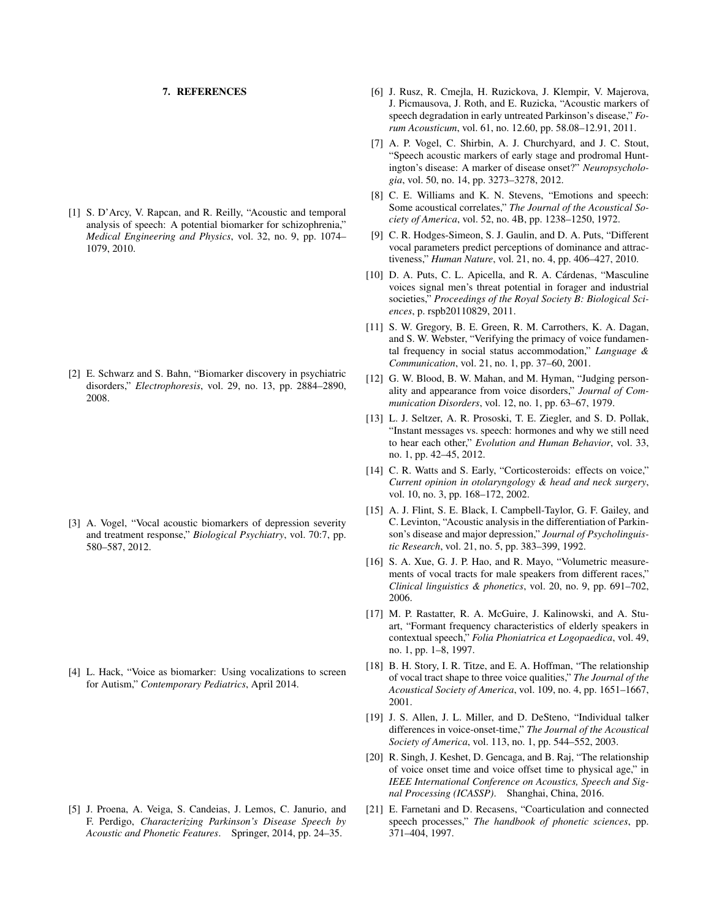#### 7. REFERENCES

<span id="page-4-0"></span>[1] S. D'Arcy, V. Rapcan, and R. Reilly, "Acoustic and temporal analysis of speech: A potential biomarker for schizophrenia," *Medical Engineering and Physics*, vol. 32, no. 9, pp. 1074– 1079, 2010.

<span id="page-4-1"></span>[2] E. Schwarz and S. Bahn, "Biomarker discovery in psychiatric disorders," *Electrophoresis*, vol. 29, no. 13, pp. 2884–2890, 2008.

<span id="page-4-2"></span>[3] A. Vogel, "Vocal acoustic biomarkers of depression severity and treatment response," *Biological Psychiatry*, vol. 70:7, pp. 580–587, 2012.

<span id="page-4-3"></span>[4] L. Hack, "Voice as biomarker: Using vocalizations to screen for Autism," *Contemporary Pediatrics*, April 2014.

<span id="page-4-4"></span>[5] J. Proena, A. Veiga, S. Candeias, J. Lemos, C. Janurio, and F. Perdigo, *Characterizing Parkinson's Disease Speech by Acoustic and Phonetic Features*. Springer, 2014, pp. 24–35.

- <span id="page-4-5"></span>[6] J. Rusz, R. Cmejla, H. Ruzickova, J. Klempir, V. Majerova, J. Picmausova, J. Roth, and E. Ruzicka, "Acoustic markers of speech degradation in early untreated Parkinson's disease," *Forum Acousticum*, vol. 61, no. 12.60, pp. 58.08–12.91, 2011.
- <span id="page-4-6"></span>[7] A. P. Vogel, C. Shirbin, A. J. Churchyard, and J. C. Stout, "Speech acoustic markers of early stage and prodromal Huntington's disease: A marker of disease onset?" *Neuropsychologia*, vol. 50, no. 14, pp. 3273–3278, 2012.
- <span id="page-4-7"></span>[8] C. E. Williams and K. N. Stevens, "Emotions and speech: Some acoustical correlates," *The Journal of the Acoustical Society of America*, vol. 52, no. 4B, pp. 1238–1250, 1972.
- <span id="page-4-8"></span>[9] C. R. Hodges-Simeon, S. J. Gaulin, and D. A. Puts, "Different vocal parameters predict perceptions of dominance and attractiveness," *Human Nature*, vol. 21, no. 4, pp. 406–427, 2010.
- <span id="page-4-9"></span>[10] D. A. Puts, C. L. Apicella, and R. A. Cárdenas, "Masculine voices signal men's threat potential in forager and industrial societies," *Proceedings of the Royal Society B: Biological Sciences*, p. rspb20110829, 2011.
- <span id="page-4-10"></span>[11] S. W. Gregory, B. E. Green, R. M. Carrothers, K. A. Dagan, and S. W. Webster, "Verifying the primacy of voice fundamental frequency in social status accommodation," *Language & Communication*, vol. 21, no. 1, pp. 37–60, 2001.
- <span id="page-4-11"></span>[12] G. W. Blood, B. W. Mahan, and M. Hyman, "Judging personality and appearance from voice disorders," *Journal of Communication Disorders*, vol. 12, no. 1, pp. 63–67, 1979.
- <span id="page-4-12"></span>[13] L. J. Seltzer, A. R. Prososki, T. E. Ziegler, and S. D. Pollak, "Instant messages vs. speech: hormones and why we still need to hear each other," *Evolution and Human Behavior*, vol. 33, no. 1, pp. 42–45, 2012.
- <span id="page-4-13"></span>[14] C. R. Watts and S. Early, "Corticosteroids: effects on voice," *Current opinion in otolaryngology & head and neck surgery*, vol. 10, no. 3, pp. 168–172, 2002.
- <span id="page-4-14"></span>[15] A. J. Flint, S. E. Black, I. Campbell-Taylor, G. F. Gailey, and C. Levinton, "Acoustic analysis in the differentiation of Parkinson's disease and major depression," *Journal of Psycholinguistic Research*, vol. 21, no. 5, pp. 383–399, 1992.
- <span id="page-4-15"></span>[16] S. A. Xue, G. J. P. Hao, and R. Mayo, "Volumetric measurements of vocal tracts for male speakers from different races," *Clinical linguistics & phonetics*, vol. 20, no. 9, pp. 691–702, 2006.
- <span id="page-4-16"></span>[17] M. P. Rastatter, R. A. McGuire, J. Kalinowski, and A. Stuart, "Formant frequency characteristics of elderly speakers in contextual speech," *Folia Phoniatrica et Logopaedica*, vol. 49, no. 1, pp. 1–8, 1997.
- <span id="page-4-17"></span>[18] B. H. Story, I. R. Titze, and E. A. Hoffman, "The relationship of vocal tract shape to three voice qualities," *The Journal of the Acoustical Society of America*, vol. 109, no. 4, pp. 1651–1667, 2001.
- <span id="page-4-18"></span>[19] J. S. Allen, J. L. Miller, and D. DeSteno, "Individual talker differences in voice-onset-time," *The Journal of the Acoustical Society of America*, vol. 113, no. 1, pp. 544–552, 2003.
- <span id="page-4-19"></span>[20] R. Singh, J. Keshet, D. Gencaga, and B. Raj, "The relationship" of voice onset time and voice offset time to physical age," in *IEEE International Conference on Acoustics, Speech and Signal Processing (ICASSP)*. Shanghai, China, 2016.
- <span id="page-4-20"></span>[21] E. Farnetani and D. Recasens, "Coarticulation and connected speech processes," *The handbook of phonetic sciences*, pp. 371–404, 1997.